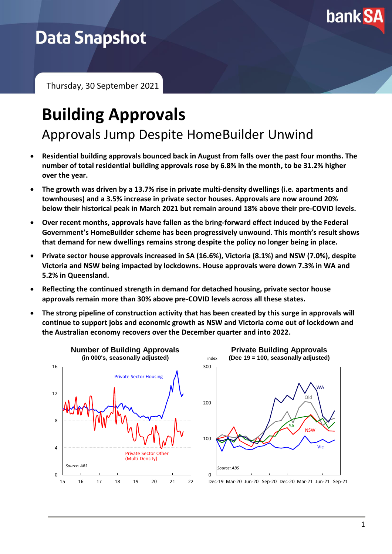

## **Data Snapshot**

Thursday, 30 September 2021

# **Building Approvals**

Approvals Jump Despite HomeBuilder Unwind

- **Residential building approvals bounced back in August from falls over the past four months. The number of total residential building approvals rose by 6.8% in the month, to be 31.2% higher over the year.**
- **The growth was driven by a 13.7% rise in private multi-density dwellings (i.e. apartments and townhouses) and a 3.5% increase in private sector houses. Approvals are now around 20% below their historical peak in March 2021 but remain around 18% above their pre-COVID levels.**
- **Over recent months, approvals have fallen as the bring-forward effect induced by the Federal Government's HomeBuilder scheme has been progressively unwound. This month's result shows that demand for new dwellings remains strong despite the policy no longer being in place.**
- **Private sector house approvals increased in SA (16.6%), Victoria (8.1%) and NSW (7.0%), despite Victoria and NSW being impacted by lockdowns. House approvals were down 7.3% in WA and 5.2% in Queensland.**
- **Reflecting the continued strength in demand for detached housing, private sector house approvals remain more than 30% above pre-COVID levels across all these states.**
- **The strong pipeline of construction activity that has been created by this surge in approvals will continue to support jobs and economic growth as NSW and Victoria come out of lockdown and the Australian economy recovers over the December quarter and into 2022.**

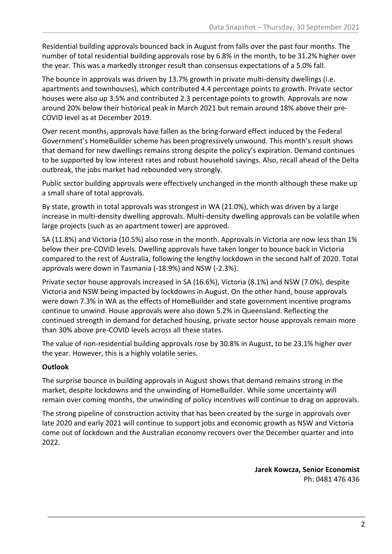Residential building approvals bounced back in August from falls over the past four months. The number of total residential building approvals rose by 6.8% in the month, to be 31.2% higher over the year. This was a markedly stronger result than consensus expectations of a 5.0% fall.

The bounce in approvals was driven by 13.7% growth in private multi-density dwellings (i.e. apartments and townhouses), which contributed 4.4 percentage points to growth. Private sector houses were also up 3.5% and contributed 2.3 percentage points to growth. Approvals are now around 20% below their historical peak in March 2021 but remain around 18% above their pre-COVID level as at December 2019.

Over recent months, approvals have fallen as the bring-forward effect induced by the Federal Government's HomeBuilder scheme has been progressively unwound. This month's result shows that demand for new dwellings remains strong despite the policy's expiration. Demand continues to be supported by low interest rates and robust household savings. Also, recall ahead of the Delta outbreak, the jobs market had rebounded very strongly.

Public sector building approvals were effectively unchanged in the month although these make up a small share of total approvals.

By state, growth in total approvals was strongest in WA (21.0%), which was driven by a large increase in multi-density dwelling approvals. Multi-density dwelling approvals can be volatile when large projects (such as an apartment tower) are approved.

SA (11.8%) and Victoria (10.5%) also rose in the month. Approvals in Victoria are now less than 1% below their pre-COVID levels. Dwelling approvals have taken longer to bounce back in Victoria compared to the rest of Australia, following the lengthy lockdown in the second half of 2020. Total approvals were down in Tasmania (-18.9%) and NSW (-2.3%).

Private sector house approvals increased in SA (16.6%), Victoria (8.1%) and NSW (7.0%), despite Victoria and NSW being impacted by lockdowns in August. On the other hand, house approvals were down 7.3% in WA as the effects of HomeBuilder and state government incentive programs continue to unwind. House approvals were also down 5.2% in Queensland. Reflecting the continued strength in demand for detached housing, private sector house approvals remain more than 30% above pre-COVID levels across all these states.

The value of non-residential building approvals rose by 30.8% in August, to be 23.1% higher over the year. However, this is a highly volatile series.

### **Outlook**

The surprise bounce in building approvals in August shows that demand remains strong in the market, despite lockdowns and the unwinding of HomeBuilder. While some uncertainty will remain over coming months, the unwinding of policy incentives will continue to drag on approvals.

The strong pipeline of construction activity that has been created by the surge in approvals over late 2020 and early 2021 will continue to support jobs and economic growth as NSW and Victoria come out of lockdown and the Australian economy recovers over the December quarter and into 2022.

> **Jarek Kowcza, Senior Economist** Ph: 0481 476 436